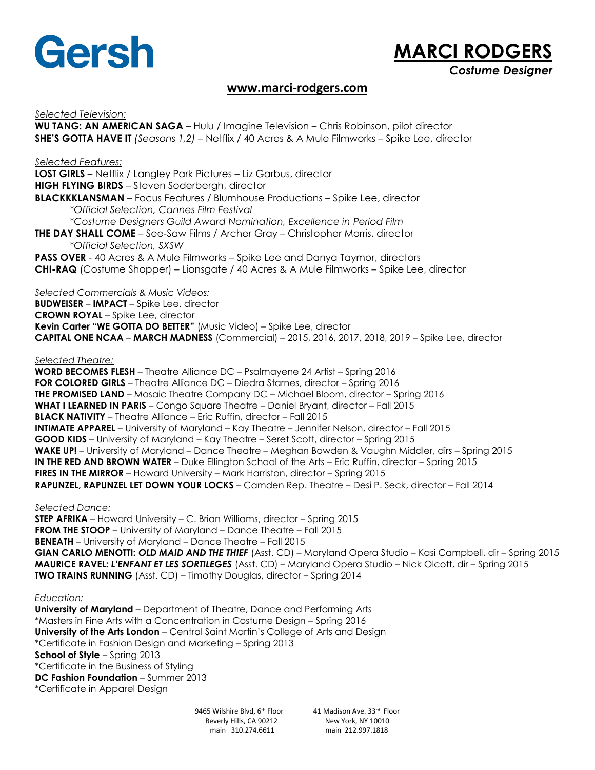

## **MARCI RODGERS** *Costume Designer*

## **[www.marci-rodgers.com](http://www.marci-rodgers.com/)**

*Selected Television:* **WU TANG: AN AMERICAN SAGA** – Hulu / Imagine Television – Chris Robinson, pilot director **SHE'S GOTTA HAVE IT** *(Seasons 1,2)* – Netflix / 40 Acres & A Mule Filmworks – Spike Lee, director *Selected Features:* **LOST GIRLS** – Netflix / Langley Park Pictures – Liz Garbus, director **HIGH FLYING BIRDS** – Steven Soderbergh, director **BLACKKKLANSMAN** – Focus Features / Blumhouse Productions – Spike Lee, director *\*Official Selection, Cannes Film Festival \*Costume Designers Guild Award Nomination, Excellence in Period Film* **THE DAY SHALL COME** – See-Saw Films / Archer Gray – Christopher Morris, director *\*Official Selection, SXSW*  **PASS OVER** - 40 Acres & A Mule Filmworks – Spike Lee and Danya Taymor, directors **CHI-RAQ** (Costume Shopper) – Lionsgate / 40 Acres & A Mule Filmworks – Spike Lee, director *Selected Commercials & Music Videos:* **BUDWEISER** – **IMPACT** – Spike Lee, director **CROWN ROYAL** – Spike Lee, director **Kevin Carter "WE GOTTA DO BETTER"** (Music Video) – Spike Lee, director **CAPITAL ONE NCAA** – **MARCH MADNESS** (Commercial) – 2015, 2016, 2017, 2018, 2019 – Spike Lee, director *Selected Theatre:* **WORD BECOMES FLESH** – Theatre Alliance DC – Psalmayene 24 Artist – Spring 2016 **FOR COLORED GIRLS** – Theatre Alliance DC – Diedra Starnes, director – Spring 2016 **THE PROMISED LAND** – Mosaic Theatre Company DC – Michael Bloom, director – Spring 2016 **WHAT I LEARNED IN PARIS** – Congo Square Theatre – Daniel Bryant, director – Fall 2015 **BLACK NATIVITY** – Theatre Alliance – Eric Ruffin, director – Fall 2015 **INTIMATE APPAREL** – University of Maryland – Kay Theatre – Jennifer Nelson, director – Fall 2015 **GOOD KIDS** – University of Maryland – Kay Theatre – Seret Scott, director – Spring 2015 **WAKE UP!** – University of Maryland – Dance Theatre – Meghan Bowden & Vaughn Middler, dirs – Spring 2015 **IN THE RED AND BROWN WATER** – Duke Ellington School of the Arts – Eric Ruffin, director – Spring 2015 **FIRES IN THE MIRROR** – Howard University – Mark Harriston, director – Spring 2015 **RAPUNZEL, RAPUNZEL LET DOWN YOUR LOCKS** – Camden Rep. Theatre – Desi P. Seck, director – Fall 2014 *Selected Dance:* **STEP AFRIKA** – Howard University – C. Brian Williams, director – Spring 2015 **FROM THE STOOP** – University of Maryland – Dance Theatre – Fall 2015 **BENEATH** – University of Maryland – Dance Theatre – Fall 2015 **GIAN CARLO MENOTTI:** *OLD MAID AND THE THIEF* (Asst. CD) – Maryland Opera Studio – Kasi Campbell, dir – Spring 2015

**MAURICE RAVEL:** *L'ENFANT ET LES SORTILEGES* (Asst. CD) – Maryland Opera Studio – Nick Olcott, dir – Spring 2015 **TWO TRAINS RUNNING** (Asst. CD) – Timothy Douglas, director – Spring 2014

## *Education:*

**University of Maryland** – Department of Theatre, Dance and Performing Arts \*Masters in Fine Arts with a Concentration in Costume Design – Spring 2016 **University of the Arts London** – Central Saint Martin's College of Arts and Design \*Certificate in Fashion Design and Marketing – Spring 2013 **School of Style** – Spring 2013 \*Certificate in the Business of Styling **DC Fashion Foundation** – Summer 2013 \*Certificate in Apparel Design

> 9465 Wilshire Blvd, 6<sup>th</sup> Floor Beverly Hills, CA 90212 New York, NY 10010 main 310.274.6611 main 212.997.1818

41 Madison Ave. 33rd Floor